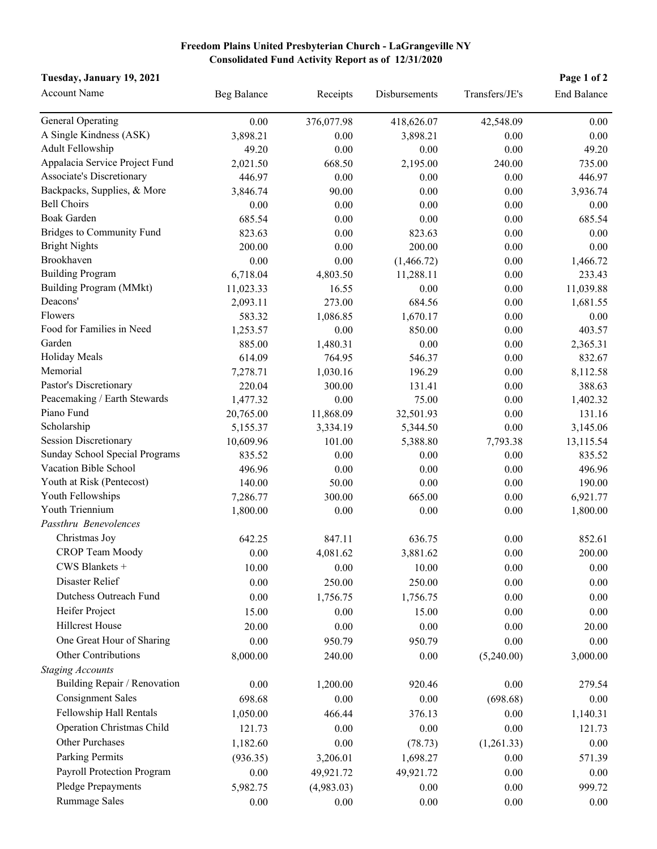## **Freedom Plains United Presbyterian Church - LaGrangeville NY Consolidated Fund Activity Report as of 12/31/2020**

| Tuesday, January 19, 2021<br>Page 1 of 2 |                    |            |               |                |                    |  |  |
|------------------------------------------|--------------------|------------|---------------|----------------|--------------------|--|--|
| <b>Account Name</b>                      | <b>Beg Balance</b> | Receipts   | Disbursements | Transfers/JE's | <b>End Balance</b> |  |  |
| <b>General Operating</b>                 | 0.00               | 376,077.98 | 418,626.07    | 42,548.09      | 0.00               |  |  |
| A Single Kindness (ASK)                  | 3,898.21           | 0.00       | 3,898.21      | 0.00           | 0.00               |  |  |
| Adult Fellowship                         | 49.20              | 0.00       | 0.00          | 0.00           | 49.20              |  |  |
| Appalacia Service Project Fund           | 2,021.50           | 668.50     | 2,195.00      | 240.00         | 735.00             |  |  |
| Associate's Discretionary                | 446.97             | 0.00       | 0.00          | 0.00           | 446.97             |  |  |
| Backpacks, Supplies, & More              | 3,846.74           | 90.00      | 0.00          | 0.00           | 3,936.74           |  |  |
| <b>Bell Choirs</b>                       | 0.00               | 0.00       | 0.00          | 0.00           | 0.00               |  |  |
| <b>Boak Garden</b>                       | 685.54             | 0.00       | 0.00          | 0.00           | 685.54             |  |  |
| <b>Bridges to Community Fund</b>         | 823.63             | 0.00       | 823.63        | 0.00           | 0.00               |  |  |
| <b>Bright Nights</b>                     | 200.00             | 0.00       | 200.00        | 0.00           | 0.00               |  |  |
| Brookhaven                               | 0.00               | 0.00       | (1,466.72)    | 0.00           | 1,466.72           |  |  |
| <b>Building Program</b>                  | 6,718.04           | 4,803.50   | 11,288.11     | 0.00           | 233.43             |  |  |
| Building Program (MMkt)                  | 11,023.33          | 16.55      | 0.00          | 0.00           | 11,039.88          |  |  |
| Deacons'                                 | 2,093.11           | 273.00     | 684.56        | 0.00           | 1,681.55           |  |  |
| Flowers                                  | 583.32             | 1,086.85   | 1,670.17      | 0.00           | 0.00               |  |  |
| Food for Families in Need                | 1,253.57           | 0.00       | 850.00        | 0.00           | 403.57             |  |  |
| Garden                                   | 885.00             | 1,480.31   | 0.00          | 0.00           | 2,365.31           |  |  |
| Holiday Meals                            | 614.09             | 764.95     | 546.37        | 0.00           | 832.67             |  |  |
| Memorial                                 | 7,278.71           | 1,030.16   | 196.29        | 0.00           | 8,112.58           |  |  |
| Pastor's Discretionary                   | 220.04             | 300.00     | 131.41        | 0.00           | 388.63             |  |  |
| Peacemaking / Earth Stewards             | 1,477.32           | 0.00       | 75.00         | 0.00           | 1,402.32           |  |  |
| Piano Fund                               | 20,765.00          | 11,868.09  | 32,501.93     | 0.00           | 131.16             |  |  |
| Scholarship                              | 5,155.37           | 3,334.19   | 5,344.50      | 0.00           | 3,145.06           |  |  |
| <b>Session Discretionary</b>             | 10,609.96          | 101.00     | 5,388.80      | 7,793.38       | 13,115.54          |  |  |
| Sunday School Special Programs           | 835.52             | 0.00       | 0.00          | 0.00           | 835.52             |  |  |
| Vacation Bible School                    | 496.96             | 0.00       | 0.00          | 0.00           | 496.96             |  |  |
| Youth at Risk (Pentecost)                | 140.00             | 50.00      | 0.00          | 0.00           | 190.00             |  |  |
| Youth Fellowships                        | 7,286.77           | 300.00     | 665.00        | 0.00           | 6,921.77           |  |  |
| Youth Triennium                          | 1,800.00           | 0.00       | 0.00          | 0.00           | 1,800.00           |  |  |
| Passthru Benevolences                    |                    |            |               |                |                    |  |  |
| Christmas Joy                            | 642.25             | 847.11     | 636.75        | 0.00           | 852.61             |  |  |
| <b>CROP Team Moody</b>                   | 0.00               | 4,081.62   | 3,881.62      | $0.00\,$       | 200.00             |  |  |
| CWS Blankets +                           | 10.00              | 0.00       | 10.00         | 0.00           | 0.00               |  |  |
| Disaster Relief                          | $0.00\,$           | 250.00     | 250.00        | 0.00           | 0.00               |  |  |
| Dutchess Outreach Fund                   | $0.00\,$           | 1,756.75   | 1,756.75      | 0.00           | 0.00               |  |  |
| Heifer Project                           | 15.00              | 0.00       | 15.00         | 0.00           | 0.00               |  |  |
| Hillcrest House                          | 20.00              | 0.00       | 0.00          | 0.00           | 20.00              |  |  |
| One Great Hour of Sharing                | 0.00               | 950.79     | 950.79        | 0.00           | 0.00               |  |  |
| Other Contributions                      |                    |            |               |                |                    |  |  |
|                                          | 8,000.00           | 240.00     | 0.00          | (5,240.00)     | 3,000.00           |  |  |
| <b>Staging Accounts</b>                  |                    |            |               |                |                    |  |  |
| Building Repair / Renovation             | 0.00               | 1,200.00   | 920.46        | 0.00           | 279.54             |  |  |
| <b>Consignment Sales</b>                 | 698.68             | 0.00       | 0.00          | (698.68)       | 0.00               |  |  |
| Fellowship Hall Rentals                  | 1,050.00           | 466.44     | 376.13        | 0.00           | 1,140.31           |  |  |
| Operation Christmas Child                | 121.73             | 0.00       | 0.00          | 0.00           | 121.73             |  |  |
| <b>Other Purchases</b>                   | 1,182.60           | 0.00       | (78.73)       | (1,261.33)     | 0.00               |  |  |
| Parking Permits                          | (936.35)           | 3,206.01   | 1,698.27      | 0.00           | 571.39             |  |  |
| Payroll Protection Program               | 0.00               | 49,921.72  | 49,921.72     | 0.00           | 0.00               |  |  |
| Pledge Prepayments                       | 5,982.75           | (4,983.03) | 0.00          | 0.00           | 999.72             |  |  |
| Rummage Sales                            | $0.00\,$           | 0.00       | 0.00          | 0.00           | $0.00\,$           |  |  |